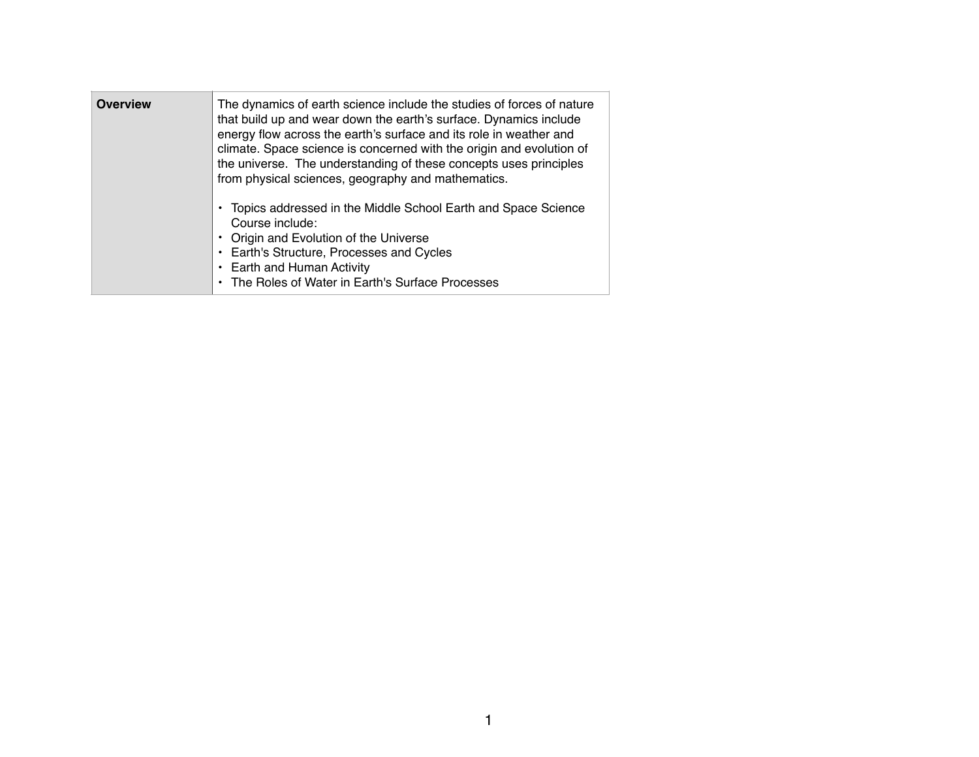| <b>Overview</b> | The dynamics of earth science include the studies of forces of nature<br>that build up and wear down the earth's surface. Dynamics include<br>energy flow across the earth's surface and its role in weather and<br>climate. Space science is concerned with the origin and evolution of<br>the universe. The understanding of these concepts uses principles<br>from physical sciences, geography and mathematics. |
|-----------------|---------------------------------------------------------------------------------------------------------------------------------------------------------------------------------------------------------------------------------------------------------------------------------------------------------------------------------------------------------------------------------------------------------------------|
|                 | Topics addressed in the Middle School Earth and Space Science<br>Course include:<br>Origin and Evolution of the Universe<br>Earth's Structure, Processes and Cycles<br>Earth and Human Activity<br>The Roles of Water in Earth's Surface Processes                                                                                                                                                                  |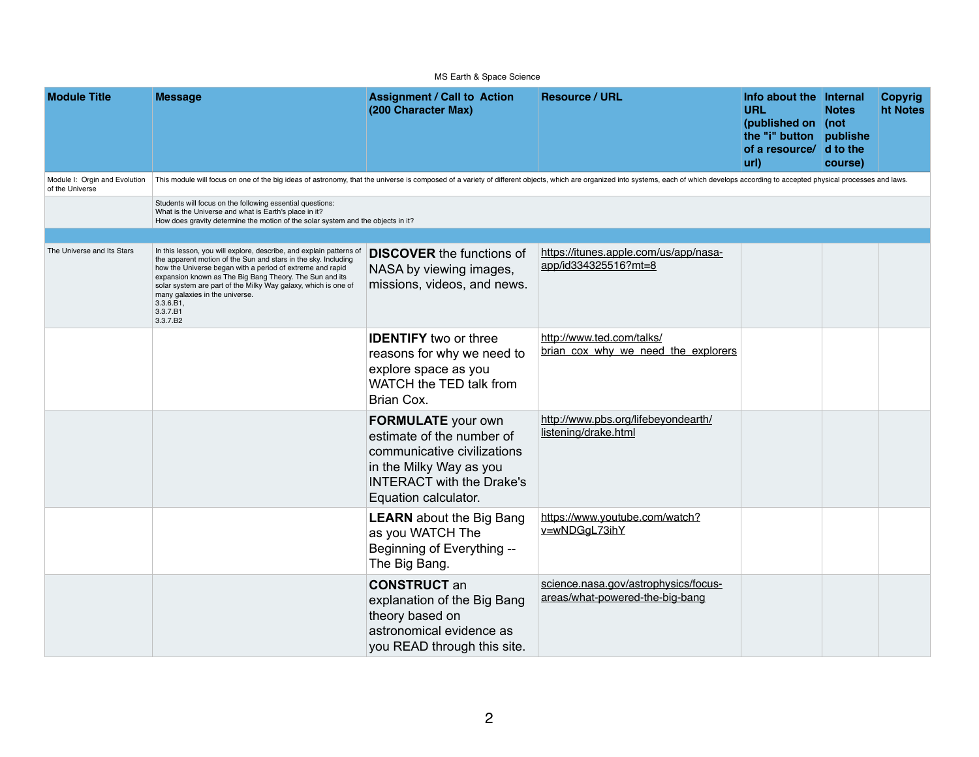|                                                  |                                                                                                                                                                                                                                                                                                                                                                                                        | MS Earth & Space Science                                                                                                                                                     |                                                                         |                                                                                                                           |                         |                            |
|--------------------------------------------------|--------------------------------------------------------------------------------------------------------------------------------------------------------------------------------------------------------------------------------------------------------------------------------------------------------------------------------------------------------------------------------------------------------|------------------------------------------------------------------------------------------------------------------------------------------------------------------------------|-------------------------------------------------------------------------|---------------------------------------------------------------------------------------------------------------------------|-------------------------|----------------------------|
| <b>Module Title</b>                              | <b>Message</b>                                                                                                                                                                                                                                                                                                                                                                                         | <b>Assignment / Call to Action</b><br>(200 Character Max)                                                                                                                    | <b>Resource / URL</b>                                                   | Info about the Internal<br><b>URL</b><br>(published on (not<br>the "i" button publishe<br>of a resource/ d to the<br>url) | <b>Notes</b><br>course) | <b>Copyrig</b><br>ht Notes |
| Module I: Orgin and Evolution<br>of the Universe | This module will focus on one of the big ideas of astronomy, that the universe is composed of a variety of different objects, which are organized into systems, each of which develops according to accepted physical processe                                                                                                                                                                         |                                                                                                                                                                              |                                                                         |                                                                                                                           |                         |                            |
|                                                  | Students will focus on the following essential questions:<br>What is the Universe and what is Earth's place in it?<br>How does gravity determine the motion of the solar system and the objects in it?                                                                                                                                                                                                 |                                                                                                                                                                              |                                                                         |                                                                                                                           |                         |                            |
|                                                  |                                                                                                                                                                                                                                                                                                                                                                                                        |                                                                                                                                                                              |                                                                         |                                                                                                                           |                         |                            |
| The Universe and Its Stars                       | In this lesson, you will explore, describe, and explain patterns of<br>the apparent motion of the Sun and stars in the sky. Including<br>how the Universe began with a period of extreme and rapid<br>expansion known as The Big Bang Theory. The Sun and its<br>solar system are part of the Milky Way galaxy, which is one of<br>many galaxies in the universe.<br>3.3.6.B1,<br>3.3.7.B1<br>3.3.7.B2 | <b>DISCOVER</b> the functions of<br>NASA by viewing images,<br>missions, videos, and news.                                                                                   | https://itunes.apple.com/us/app/nasa-<br>app/id334325516?mt=8           |                                                                                                                           |                         |                            |
|                                                  |                                                                                                                                                                                                                                                                                                                                                                                                        | <b>IDENTIFY</b> two or three<br>reasons for why we need to<br>explore space as you<br>WATCH the TED talk from<br>Brian Cox.                                                  | http://www.ted.com/talks/<br>brian cox why we need the explorers        |                                                                                                                           |                         |                            |
|                                                  |                                                                                                                                                                                                                                                                                                                                                                                                        | <b>FORMULATE</b> your own<br>estimate of the number of<br>communicative civilizations<br>in the Milky Way as you<br><b>INTERACT with the Drake's</b><br>Equation calculator. | http://www.pbs.org/lifebeyondearth/<br>listening/drake.html             |                                                                                                                           |                         |                            |
|                                                  |                                                                                                                                                                                                                                                                                                                                                                                                        | <b>LEARN</b> about the Big Bang<br>as you WATCH The<br>Beginning of Everything --<br>The Big Bang.                                                                           | https://www.youtube.com/watch?<br>v=wNDGgL73ihY                         |                                                                                                                           |                         |                            |
|                                                  |                                                                                                                                                                                                                                                                                                                                                                                                        | <b>CONSTRUCT an</b><br>explanation of the Big Bang<br>theory based on<br>astronomical evidence as<br>you READ through this site.                                             | science.nasa.gov/astrophysics/focus-<br>areas/what-powered-the-big-bang |                                                                                                                           |                         |                            |

| /us/app/nasa-                 |  |  |
|-------------------------------|--|--|
| <u>s/</u><br>ed_the_explorers |  |  |
| eyondearth/                   |  |  |
| n/watch?                      |  |  |
| bhysics/focus-<br>e-big-bang  |  |  |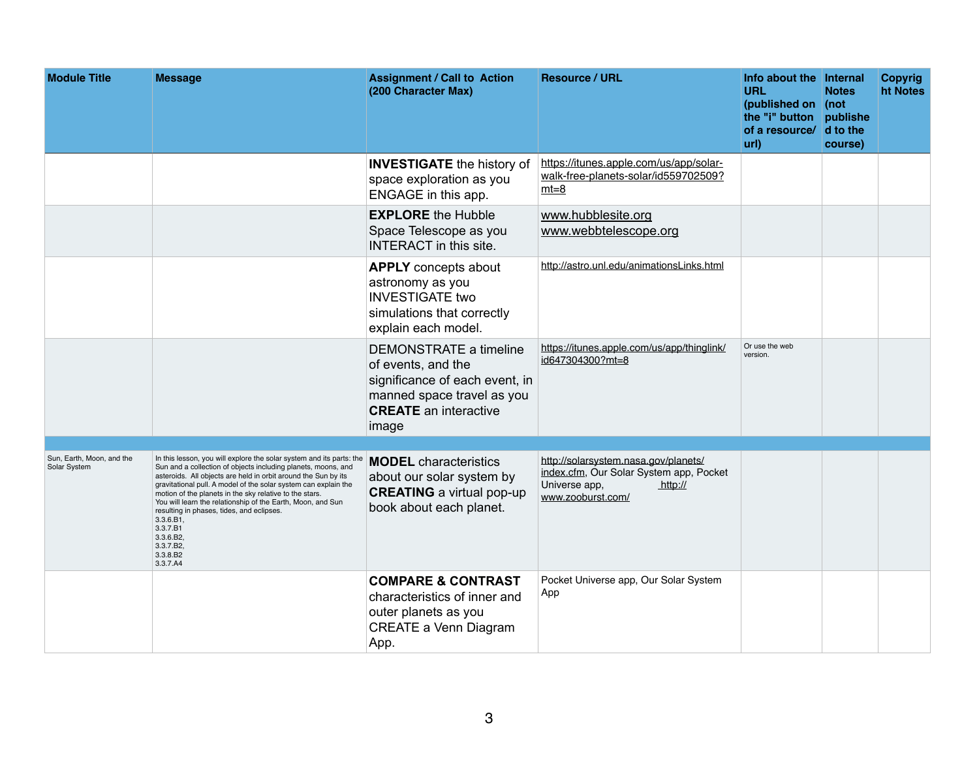| <b>Module Title</b>                       | <b>Message</b>                                                                                                                                                                                                                                                                                                                                                                                                                                                                                                                           | <b>Assignment / Call to Action</b><br>(200 Character Max)                                                                                             | <b>Resource / URL</b>                                                                                                            | Info about the Internal<br><b>URL</b><br>(published on   (not<br>the "i" button publishe<br>of a resource/ d to the<br>url) | <b>Notes</b><br>course) | <b>Copyrig</b><br>ht Notes |
|-------------------------------------------|------------------------------------------------------------------------------------------------------------------------------------------------------------------------------------------------------------------------------------------------------------------------------------------------------------------------------------------------------------------------------------------------------------------------------------------------------------------------------------------------------------------------------------------|-------------------------------------------------------------------------------------------------------------------------------------------------------|----------------------------------------------------------------------------------------------------------------------------------|-----------------------------------------------------------------------------------------------------------------------------|-------------------------|----------------------------|
|                                           |                                                                                                                                                                                                                                                                                                                                                                                                                                                                                                                                          | <b>INVESTIGATE</b> the history of<br>space exploration as you<br>ENGAGE in this app.                                                                  | https://itunes.apple.com/us/app/solar-<br>walk-free-planets-solar/id559702509?<br>$m t = 8$                                      |                                                                                                                             |                         |                            |
|                                           |                                                                                                                                                                                                                                                                                                                                                                                                                                                                                                                                          | <b>EXPLORE</b> the Hubble<br>Space Telescope as you<br><b>INTERACT</b> in this site.                                                                  | www.hubblesite.org<br>www.webbtelescope.org                                                                                      |                                                                                                                             |                         |                            |
|                                           |                                                                                                                                                                                                                                                                                                                                                                                                                                                                                                                                          | <b>APPLY</b> concepts about<br>astronomy as you<br><b>INVESTIGATE two</b><br>simulations that correctly<br>explain each model.                        | http://astro.unl.edu/animationsLinks.html                                                                                        |                                                                                                                             |                         |                            |
|                                           |                                                                                                                                                                                                                                                                                                                                                                                                                                                                                                                                          | DEMONSTRATE a timeline<br>of events, and the<br>significance of each event, in<br>manned space travel as you<br><b>CREATE</b> an interactive<br>image | https://itunes.apple.com/us/app/thinglink/<br>id647304300?mt=8                                                                   | Or use the web<br>version.                                                                                                  |                         |                            |
|                                           |                                                                                                                                                                                                                                                                                                                                                                                                                                                                                                                                          |                                                                                                                                                       |                                                                                                                                  |                                                                                                                             |                         |                            |
| Sun, Earth, Moon, and the<br>Solar System | In this lesson, you will explore the solar system and its parts: the<br>Sun and a collection of objects including planets, moons, and<br>asteroids. All objects are held in orbit around the Sun by its<br>gravitational pull. A model of the solar system can explain the<br>motion of the planets in the sky relative to the stars.<br>You will learn the relationship of the Earth, Moon, and Sun<br>resulting in phases, tides, and eclipses.<br>3.3.6.B1,<br>3.3.7.B1<br>3.3.6.B2,<br>3.3.7.B2,<br>3.3.8.B <sub>2</sub><br>3.3.7.A4 | <b>MODEL</b> characteristics<br>about our solar system by<br><b>CREATING</b> a virtual pop-up<br>book about each planet.                              | http://solarsystem.nasa.gov/planets/<br>index.cfm, Our Solar System app, Pocket<br>Universe app,<br>http://<br>www.zooburst.com/ |                                                                                                                             |                         |                            |
|                                           |                                                                                                                                                                                                                                                                                                                                                                                                                                                                                                                                          | <b>COMPARE &amp; CONTRAST</b><br>characteristics of inner and<br>outer planets as you<br><b>CREATE a Venn Diagram</b><br>App.                         | Pocket Universe app, Our Solar System<br>App                                                                                     |                                                                                                                             |                         |                            |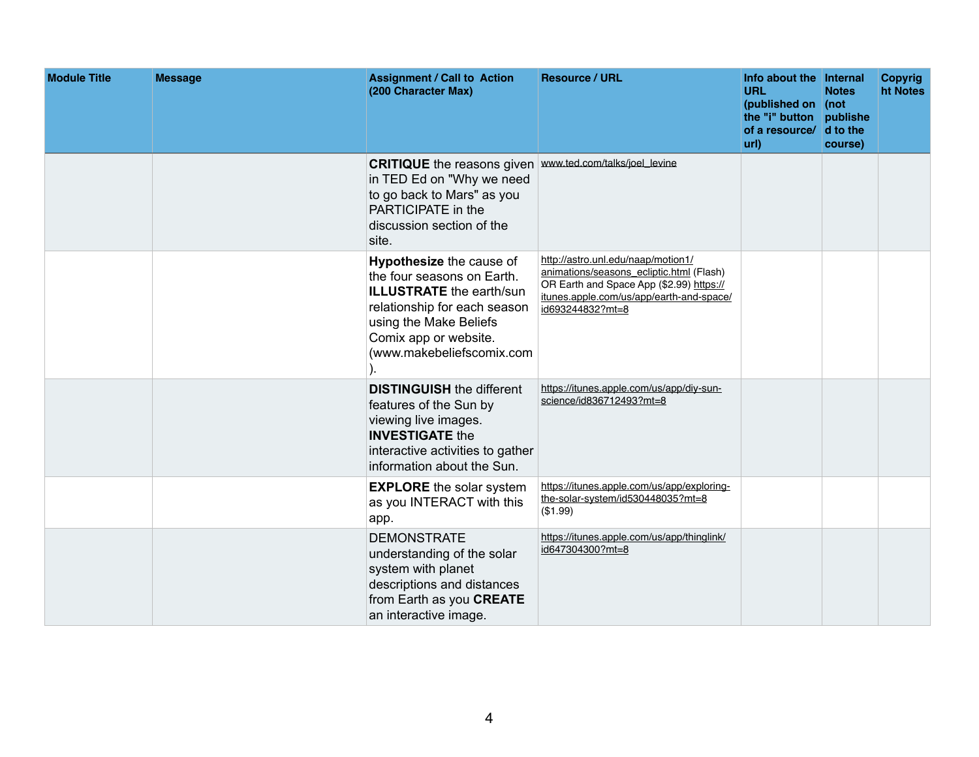| <b>Module Title</b> | <b>Message</b> | <b>Assignment / Call to Action</b><br>(200 Character Max)                                                                                                                                                        | <b>Resource / URL</b>                                                                                                                                                                      | Info about the Internal<br><b>URL</b><br>(published on (not<br>the "i" button publishe<br>of a resource/ d to the<br>url) | <b>Notes</b><br>course) | <b>Copyrig</b><br>ht Notes |
|---------------------|----------------|------------------------------------------------------------------------------------------------------------------------------------------------------------------------------------------------------------------|--------------------------------------------------------------------------------------------------------------------------------------------------------------------------------------------|---------------------------------------------------------------------------------------------------------------------------|-------------------------|----------------------------|
|                     |                | <b>CRITIQUE</b> the reasons given www.ted.com/talks/joel_levine<br>in TED Ed on "Why we need<br>to go back to Mars" as you<br><b>PARTICIPATE</b> in the<br>discussion section of the<br>site.                    |                                                                                                                                                                                            |                                                                                                                           |                         |                            |
|                     |                | <b>Hypothesize the cause of</b><br>the four seasons on Earth.<br><b>ILLUSTRATE</b> the earth/sun<br>relationship for each season<br>using the Make Beliefs<br>Comix app or website.<br>(www.makebeliefscomix.com | http://astro.unl.edu/naap/motion1/<br>animations/seasons ecliptic.html (Flash)<br>OR Earth and Space App (\$2.99) https://<br>itunes.apple.com/us/app/earth-and-space/<br>id693244832?mt=8 |                                                                                                                           |                         |                            |
|                     |                | <b>DISTINGUISH</b> the different<br>features of the Sun by<br>viewing live images.<br><b>INVESTIGATE the</b><br>interactive activities to gather<br>information about the Sun.                                   | https://itunes.apple.com/us/app/diy-sun-<br>science/id836712493?mt=8                                                                                                                       |                                                                                                                           |                         |                            |
|                     |                | <b>EXPLORE</b> the solar system<br>as you INTERACT with this<br>app.                                                                                                                                             | https://itunes.apple.com/us/app/exploring-<br>the-solar-system/id530448035?mt=8<br>(\$1.99)                                                                                                |                                                                                                                           |                         |                            |
|                     |                | <b>DEMONSTRATE</b><br>understanding of the solar<br>system with planet<br>descriptions and distances<br>from Earth as you CREATE<br>an interactive image.                                                        | https://itunes.apple.com/us/app/thinglink/<br>id647304300?mt=8                                                                                                                             |                                                                                                                           |                         |                            |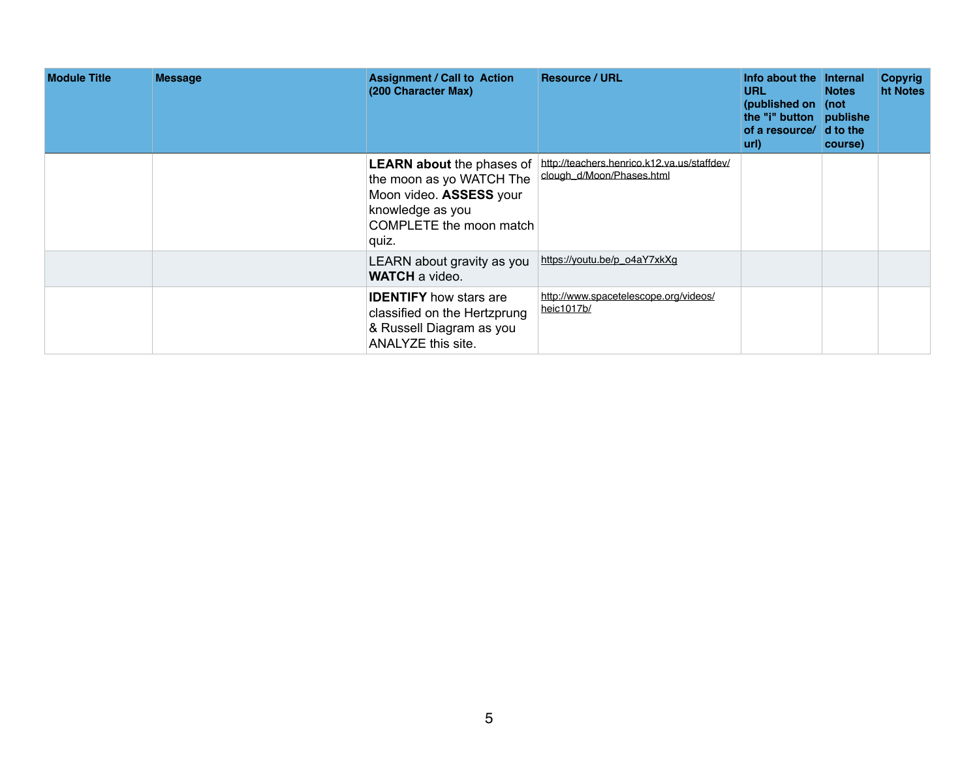| <b>Module Title</b> | <b>Message</b> | <b>Assignment / Call to Action</b><br>(200 Character Max)                                                              | <b>Resource / URL</b>                                                                              | Info about the Internal<br><b>URL</b><br>(published on (not<br>the "i" button publishe<br>of a resource/ d to the<br>url) | <b>Notes</b><br>course) | <b>Copyrig</b><br>ht Notes |
|---------------------|----------------|------------------------------------------------------------------------------------------------------------------------|----------------------------------------------------------------------------------------------------|---------------------------------------------------------------------------------------------------------------------------|-------------------------|----------------------------|
|                     |                | the moon as yo WATCH The<br>Moon video. ASSESS your<br>knowledge as you<br>COMPLETE the moon match<br>quiz.            | LEARN about the phases of http://teachers.henrico.k12.va.us/staffdev/<br>clough_d/Moon/Phases.html |                                                                                                                           |                         |                            |
|                     |                | LEARN about gravity as you<br><b>WATCH</b> a video.                                                                    | https://youtu.be/p_o4aY7xkXg                                                                       |                                                                                                                           |                         |                            |
|                     |                | <b>IDENTIFY</b> how stars are<br>classified on the Hertzprung<br>& Russell Diagram as you<br><b>ANALYZE this site.</b> | http://www.spacetelescope.org/videos/<br>heic1017b/                                                |                                                                                                                           |                         |                            |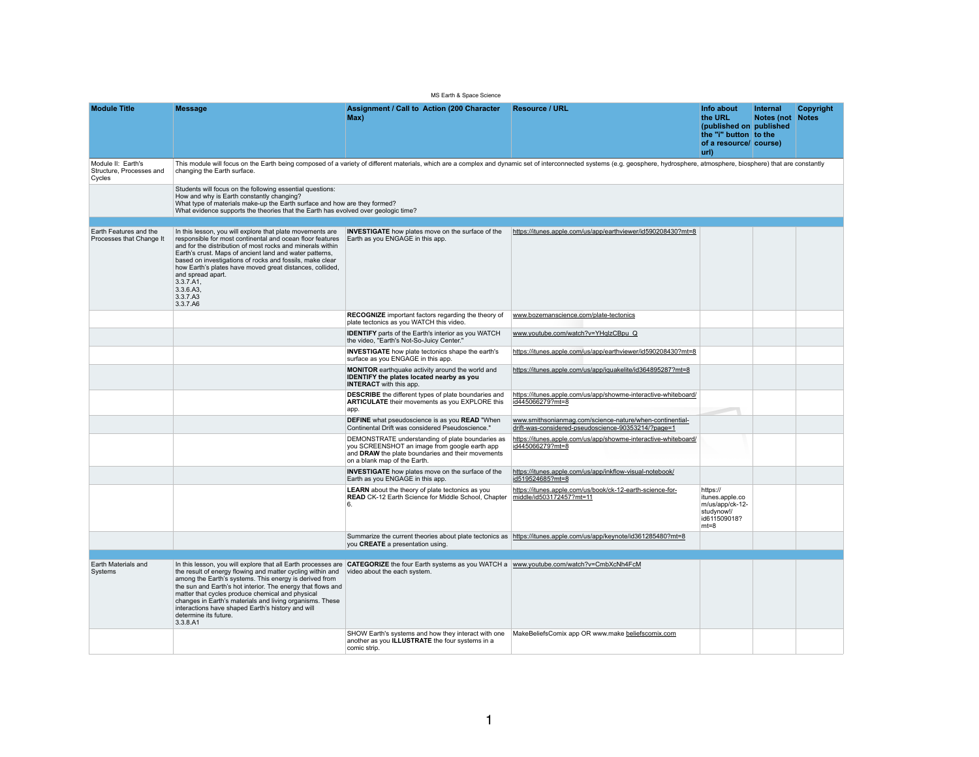MS Earth & Space Science

| <b>Module Title</b>                                      | <b>Message</b>                                                                                                                                                                                                                                                                                                                                                                                                                                                                                                                                      | <b>Assignment / Call to Action (200 Character)</b><br>Max)                                                                                                                             | <b>Resource / URL</b>                                                                                                                                                                                                          | Info about<br>the URL<br>(published on published<br>the "i" button to the<br>of a resource/ course)<br>url) | <b>Internal</b><br><b>Notes (not</b> | Copyright<br><b>Notes</b> |
|----------------------------------------------------------|-----------------------------------------------------------------------------------------------------------------------------------------------------------------------------------------------------------------------------------------------------------------------------------------------------------------------------------------------------------------------------------------------------------------------------------------------------------------------------------------------------------------------------------------------------|----------------------------------------------------------------------------------------------------------------------------------------------------------------------------------------|--------------------------------------------------------------------------------------------------------------------------------------------------------------------------------------------------------------------------------|-------------------------------------------------------------------------------------------------------------|--------------------------------------|---------------------------|
| Module II: Earth's<br>Structure, Processes and<br>Cycles | changing the Earth surface.                                                                                                                                                                                                                                                                                                                                                                                                                                                                                                                         |                                                                                                                                                                                        | This module will focus on the Earth being composed of a variety of different materials, which are a complex and dynamic set of interconnected systems (e.g. geosphere, hydrosphere, atmosphere, biosphere) that are constantly |                                                                                                             |                                      |                           |
|                                                          | Students will focus on the following essential questions:<br>How and why is Earth constantly changing?<br>What type of materials make-up the Earth surface and how are they formed?<br>What evidence supports the theories that the Earth has evolved over geologic time?                                                                                                                                                                                                                                                                           |                                                                                                                                                                                        |                                                                                                                                                                                                                                |                                                                                                             |                                      |                           |
| Earth Features and the<br>Processes that Change It       | In this lesson, you will explore that plate movements are<br>responsible for most continental and ocean floor features<br>and for the distribution of most rocks and minerals within<br>Earth's crust. Maps of ancient land and water patterns,<br>based on investigations of rocks and fossils, make clear<br>how Earth's plates have moved great distances, collided,<br>and spread apart.<br>3.3.7.A1,<br>3.3.6.A3,<br>3.3.7.A3<br>3.3.7.A6                                                                                                      | <b>INVESTIGATE</b> how plates move on the surface of the<br>Earth as you ENGAGE in this app.                                                                                           | https://itunes.apple.com/us/app/earthviewer/id590208430?mt=8                                                                                                                                                                   |                                                                                                             |                                      |                           |
|                                                          |                                                                                                                                                                                                                                                                                                                                                                                                                                                                                                                                                     | <b>RECOGNIZE</b> important factors regarding the theory of www.bozemanscience.com/plate-tectonics<br>plate tectonics as you WATCH this video.                                          |                                                                                                                                                                                                                                |                                                                                                             |                                      |                           |
|                                                          |                                                                                                                                                                                                                                                                                                                                                                                                                                                                                                                                                     | <b>IDENTIFY</b> parts of the Earth's interior as you WATCH<br>the video, "Earth's Not-So-Juicy Center."                                                                                | www.youtube.com/watch?v=YHqlzCBpu Q                                                                                                                                                                                            |                                                                                                             |                                      |                           |
|                                                          |                                                                                                                                                                                                                                                                                                                                                                                                                                                                                                                                                     | <b>INVESTIGATE</b> how plate tectonics shape the earth's<br>surface as you ENGAGE in this app.                                                                                         | https://itunes.apple.com/us/app/earthviewer/id590208430?mt=8                                                                                                                                                                   |                                                                                                             |                                      |                           |
|                                                          |                                                                                                                                                                                                                                                                                                                                                                                                                                                                                                                                                     | <b>MONITOR</b> earthquake activity around the world and<br><b>IDENTIFY the plates located nearby as you</b><br><b>INTERACT</b> with this app.                                          | https://itunes.apple.com/us/app/iquakelite/id364895287?mt=8                                                                                                                                                                    |                                                                                                             |                                      |                           |
|                                                          |                                                                                                                                                                                                                                                                                                                                                                                                                                                                                                                                                     | <b>DESCRIBE</b> the different types of plate boundaries and<br><b>ARTICULATE</b> their movements as you EXPLORE this<br>app.                                                           | https://itunes.apple.com/us/app/showme-interactive-whiteboard/<br>id445066279?mt=8                                                                                                                                             |                                                                                                             |                                      |                           |
|                                                          |                                                                                                                                                                                                                                                                                                                                                                                                                                                                                                                                                     | <b>DEFINE</b> what pseudoscience is as you <b>READ</b> "When<br>Continental Drift was considered Pseudoscience."                                                                       | www.smithsonianmag.com/science-nature/when-continential-<br>drift-was-considered-pseudoscience-90353214/?page=1                                                                                                                |                                                                                                             |                                      |                           |
|                                                          |                                                                                                                                                                                                                                                                                                                                                                                                                                                                                                                                                     | DEMONSTRATE understanding of plate boundaries as<br>you SCREENSHOT an image from google earth app<br>and DRAW the plate boundaries and their movements<br>on a blank map of the Earth. | https://itunes.apple.com/us/app/showme-interactive-whiteboard/<br>id445066279?mt=8                                                                                                                                             |                                                                                                             |                                      |                           |
|                                                          |                                                                                                                                                                                                                                                                                                                                                                                                                                                                                                                                                     | <b>INVESTIGATE</b> how plates move on the surface of the<br>Earth as you ENGAGE in this app.                                                                                           | https://itunes.apple.com/us/app/inkflow-visual-notebook/<br>id519524685?mt=8                                                                                                                                                   |                                                                                                             |                                      |                           |
|                                                          |                                                                                                                                                                                                                                                                                                                                                                                                                                                                                                                                                     | <b>LEARN</b> about the theory of plate tectonics as you<br><b>READ</b> CK-12 Earth Science for Middle School, Chapter                                                                  | https://itunes.apple.com/us/book/ck-12-earth-science-for-<br>middle/id503172457?mt=11                                                                                                                                          | https://<br>itunes.apple.co<br>m/us/app/ck-12-<br>studynow!/<br>id611509018?<br>$mt=8$                      |                                      |                           |
|                                                          |                                                                                                                                                                                                                                                                                                                                                                                                                                                                                                                                                     | you <b>CREATE</b> a presentation using.                                                                                                                                                | Summarize the current theories about plate tectonics as https://itunes.apple.com/us/app/keynote/id361285480?mt=8                                                                                                               |                                                                                                             |                                      |                           |
|                                                          |                                                                                                                                                                                                                                                                                                                                                                                                                                                                                                                                                     |                                                                                                                                                                                        |                                                                                                                                                                                                                                |                                                                                                             |                                      |                           |
| Earth Materials and<br>Systems                           | In this lesson, you will explore that all Earth processes are CATEGORIZE the four Earth systems as you WATCH a www.youtube.com/watch?v=CmbXcNh4FcM<br>the result of energy flowing and matter cycling within and<br>among the Earth's systems. This energy is derived from<br>the sun and Earth's hot interior. The energy that flows and<br>matter that cycles produce chemical and physical<br>changes in Earth's materials and living organisms. These<br>interactions have shaped Earth's history and will<br>determine its future.<br>3.3.8.A1 | video about the each system.                                                                                                                                                           |                                                                                                                                                                                                                                |                                                                                                             |                                      |                           |
|                                                          |                                                                                                                                                                                                                                                                                                                                                                                                                                                                                                                                                     | SHOW Earth's systems and how they interact with one<br>another as you <b>ILLUSTRATE</b> the four systems in a<br>comic strip.                                                          | MakeBeliefsComix app OR www.make beliefscomix.com                                                                                                                                                                              |                                                                                                             |                                      |                           |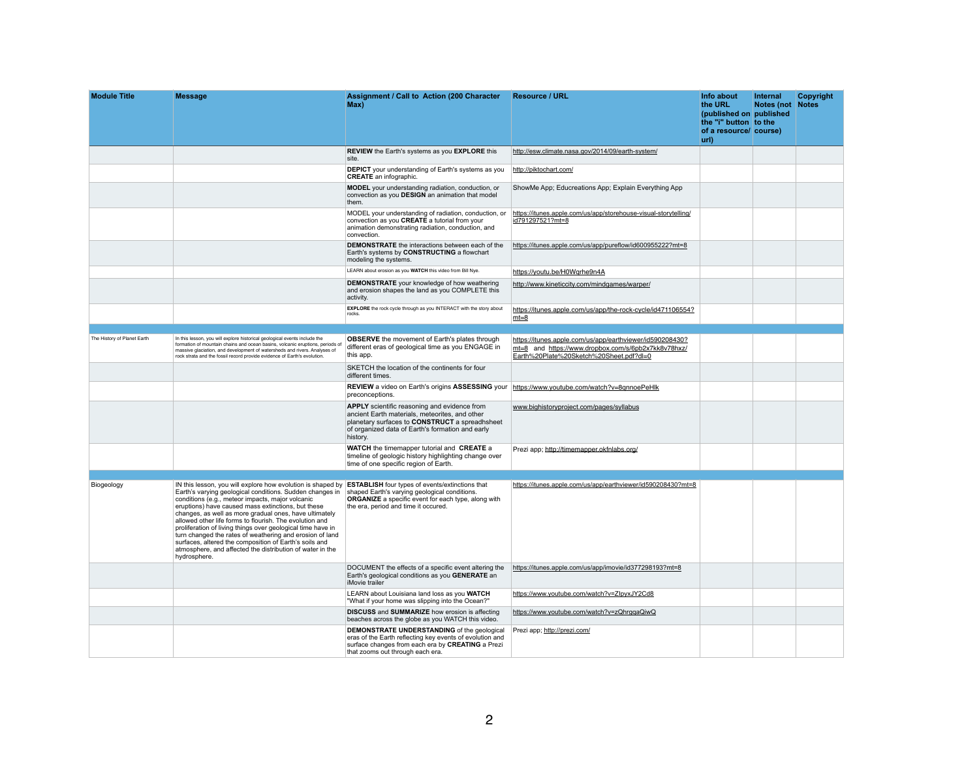| <b>Module Title</b>         | <b>Message</b>                                                                                                                                                                                                                                                                                                                                                                                                                                                                                                                                                                                                           | <b>Assignment / Call to Action (200 Character)</b><br>Max)                                                                                                                                                                     | <b>Resource / URL</b>                                                                                                                                      | Info about<br>the URL<br>(published on published<br>the "i" button to the<br>of a resource/ course)<br>url) | Internal<br><b>Notes (not</b> | <b>Copyright</b><br>Notes |
|-----------------------------|--------------------------------------------------------------------------------------------------------------------------------------------------------------------------------------------------------------------------------------------------------------------------------------------------------------------------------------------------------------------------------------------------------------------------------------------------------------------------------------------------------------------------------------------------------------------------------------------------------------------------|--------------------------------------------------------------------------------------------------------------------------------------------------------------------------------------------------------------------------------|------------------------------------------------------------------------------------------------------------------------------------------------------------|-------------------------------------------------------------------------------------------------------------|-------------------------------|---------------------------|
|                             |                                                                                                                                                                                                                                                                                                                                                                                                                                                                                                                                                                                                                          | <b>REVIEW</b> the Earth's systems as you <b>EXPLORE</b> this<br>site.                                                                                                                                                          | http://esw.climate.nasa.gov/2014/09/earth-system/                                                                                                          |                                                                                                             |                               |                           |
|                             |                                                                                                                                                                                                                                                                                                                                                                                                                                                                                                                                                                                                                          | <b>DEPICT</b> your understanding of Earth's systems as you<br><b>CREATE</b> an infographic.                                                                                                                                    | http://piktochart.com/                                                                                                                                     |                                                                                                             |                               |                           |
|                             |                                                                                                                                                                                                                                                                                                                                                                                                                                                                                                                                                                                                                          | <b>MODEL</b> your understanding radiation, conduction, or<br>convection as you DESIGN an animation that model<br>them.                                                                                                         | ShowMe App; Educreations App; Explain Everything App                                                                                                       |                                                                                                             |                               |                           |
|                             |                                                                                                                                                                                                                                                                                                                                                                                                                                                                                                                                                                                                                          | MODEL your understanding of radiation, conduction, or<br>convection as you CREATE a tutorial from your<br>animation demonstrating radiation, conduction, and<br>convection.                                                    | https://itunes.apple.com/us/app/storehouse-visual-storytelling/<br>id791297521?mt=8                                                                        |                                                                                                             |                               |                           |
|                             |                                                                                                                                                                                                                                                                                                                                                                                                                                                                                                                                                                                                                          | <b>DEMONSTRATE</b> the interactions between each of the<br>Earth's systems by <b>CONSTRUCTING</b> a flowchart<br>modeling the systems.                                                                                         | https://itunes.apple.com/us/app/pureflow/id600955222?mt=8                                                                                                  |                                                                                                             |                               |                           |
|                             |                                                                                                                                                                                                                                                                                                                                                                                                                                                                                                                                                                                                                          | LEARN about erosion as you WATCH this video from Bill Nye.                                                                                                                                                                     | https://youtu.be/H0Wgrhe9n4A                                                                                                                               |                                                                                                             |                               |                           |
|                             |                                                                                                                                                                                                                                                                                                                                                                                                                                                                                                                                                                                                                          | <b>DEMONSTRATE</b> your knowledge of how weathering<br>and erosion shapes the land as you COMPLETE this<br>activity.                                                                                                           | http://www.kineticcity.com/mindgames/warper/                                                                                                               |                                                                                                             |                               |                           |
|                             |                                                                                                                                                                                                                                                                                                                                                                                                                                                                                                                                                                                                                          | <b>EXPLORE</b> the rock cycle through as you INTERACT with the story about<br>rocks.                                                                                                                                           | https://itunes.apple.com/us/app/the-rock-cycle/id471106554?<br>$mt = 8$                                                                                    |                                                                                                             |                               |                           |
|                             |                                                                                                                                                                                                                                                                                                                                                                                                                                                                                                                                                                                                                          |                                                                                                                                                                                                                                |                                                                                                                                                            |                                                                                                             |                               |                           |
| The History of Planet Earth | In this lesson, you will explore historical geological events include the<br>formation of mountain chains and ocean basins, volcanic eruptions, periods of<br>massive glaciation, and development of watersheds and rivers. Analyses of<br>rock strata and the fossil record provide evidence of Earth's evolution.                                                                                                                                                                                                                                                                                                      | <b>OBSERVE</b> the movement of Earth's plates through<br>different eras of geological time as you ENGAGE in<br>this app.                                                                                                       | https://itunes.apple.com/us/app/earthviewer/id590208430?<br>mt=8 and https://www.dropbox.com/s/6pb2x7kk8v78hxz/<br>Earth%20Plate%20Sketch%20Sheet.pdf?dl=0 |                                                                                                             |                               |                           |
|                             |                                                                                                                                                                                                                                                                                                                                                                                                                                                                                                                                                                                                                          | SKETCH the location of the continents for four<br>different times.                                                                                                                                                             |                                                                                                                                                            |                                                                                                             |                               |                           |
|                             |                                                                                                                                                                                                                                                                                                                                                                                                                                                                                                                                                                                                                          | REVIEW a video on Earth's origins ASSESSING your   https://www.youtube.com/watch?v=8qnnoePeHlk<br>preconceptions.                                                                                                              |                                                                                                                                                            |                                                                                                             |                               |                           |
|                             |                                                                                                                                                                                                                                                                                                                                                                                                                                                                                                                                                                                                                          | <b>APPLY</b> scientific reasoning and evidence from<br>ancient Earth materials, meteorites, and other<br>planetary surfaces to <b>CONSTRUCT</b> a spreadhsheet<br>of organized data of Earth's formation and early<br>history. | www.bighistoryproject.com/pages/syllabus                                                                                                                   |                                                                                                             |                               |                           |
|                             |                                                                                                                                                                                                                                                                                                                                                                                                                                                                                                                                                                                                                          | <b>WATCH</b> the timemapper tutorial and <b>CREATE</b> a<br>timeline of geologic history highlighting change over<br>time of one specific region of Earth.                                                                     | Prezi app; http://timemapper.okfnlabs.org/                                                                                                                 |                                                                                                             |                               |                           |
| <b>Biogeology</b>           | IN this lesson, you will explore how evolution is shaped by<br>Earth's varying geological conditions. Sudden changes in<br>conditions (e.g., meteor impacts, major volcanic<br>eruptions) have caused mass extinctions, but these<br>changes, as well as more gradual ones, have ultimately<br>allowed other life forms to flourish. The evolution and<br>proliferation of living things over geological time have in<br>turn changed the rates of weathering and erosion of land<br>surfaces, altered the composition of Earth's soils and<br>atmosphere, and affected the distribution of water in the<br>hydrosphere. | <b>ESTABLISH</b> four types of events/extinctions that<br>shaped Earth's varying geological conditions.<br><b>ORGANIZE</b> a specific event for each type, along with<br>the era, period and time it occured.                  | https://itunes.apple.com/us/app/earthviewer/id590208430?mt=8                                                                                               |                                                                                                             |                               |                           |
|                             |                                                                                                                                                                                                                                                                                                                                                                                                                                                                                                                                                                                                                          | DOCUMENT the effects of a specific event altering the<br>Earth's geological conditions as you GENERATE an<br><i>iMovie</i> trailer                                                                                             | https://itunes.apple.com/us/app/imovie/id377298193?mt=8                                                                                                    |                                                                                                             |                               |                           |
|                             |                                                                                                                                                                                                                                                                                                                                                                                                                                                                                                                                                                                                                          | LEARN about Louisiana land loss as you WATCH<br>"What if your home was slipping into the Ocean?"                                                                                                                               | https://www.youtube.com/watch?v=ZlpyxJY2Cd8                                                                                                                |                                                                                                             |                               |                           |
|                             |                                                                                                                                                                                                                                                                                                                                                                                                                                                                                                                                                                                                                          | <b>DISCUSS</b> and <b>SUMMARIZE</b> how erosion is affecting<br>beaches across the globe as you WATCH this video.                                                                                                              | https://www.youtube.com/watch?v=zQhrgqaQiwQ                                                                                                                |                                                                                                             |                               |                           |
|                             |                                                                                                                                                                                                                                                                                                                                                                                                                                                                                                                                                                                                                          | <b>DEMONSTRATE UNDERSTANDING</b> of the geological<br>eras of the Earth reflecting key events of evolution and<br>surface changes from each era by CREATING a Prezi<br>that zooms out through each era.                        | Prezi app; http://prezi.com/                                                                                                                               |                                                                                                             |                               |                           |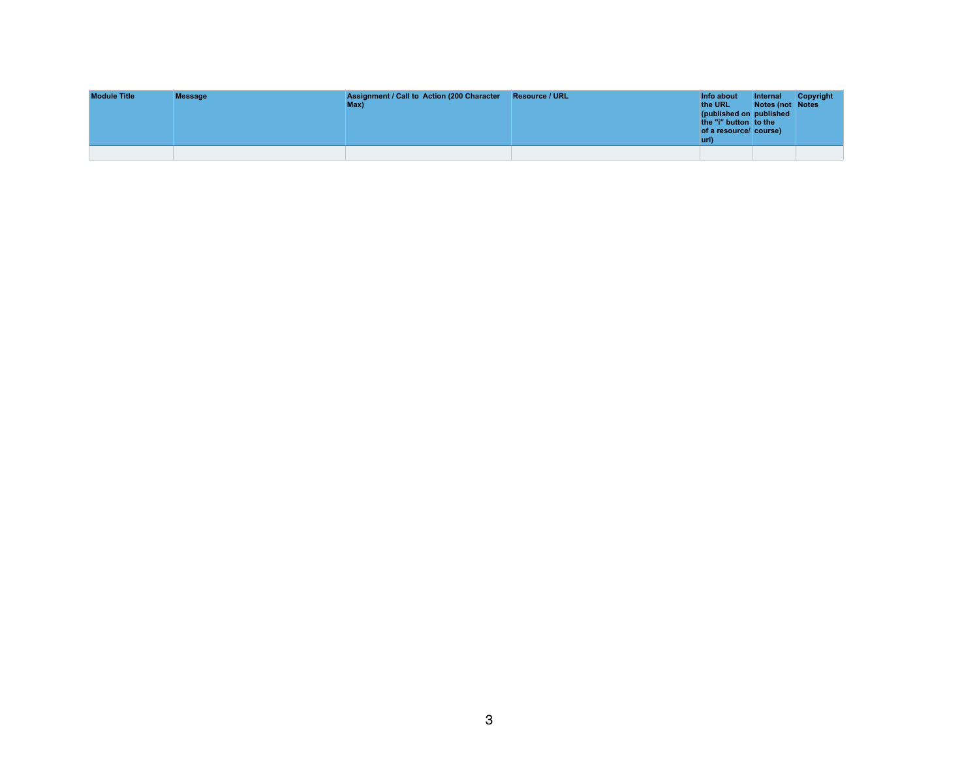| <b>Module Title</b> | <b>Message</b> | <b>Assignment / Call to Action (200 Character</b><br>Max) | <b>Resource / URL</b> | Info about<br>the URL<br>(published on published<br>the "i" button to the<br>of a resource/ course)<br>url) | Internal<br>Notes (not Notes | <b>Copyright</b> |
|---------------------|----------------|-----------------------------------------------------------|-----------------------|-------------------------------------------------------------------------------------------------------------|------------------------------|------------------|
|                     |                |                                                           |                       |                                                                                                             |                              |                  |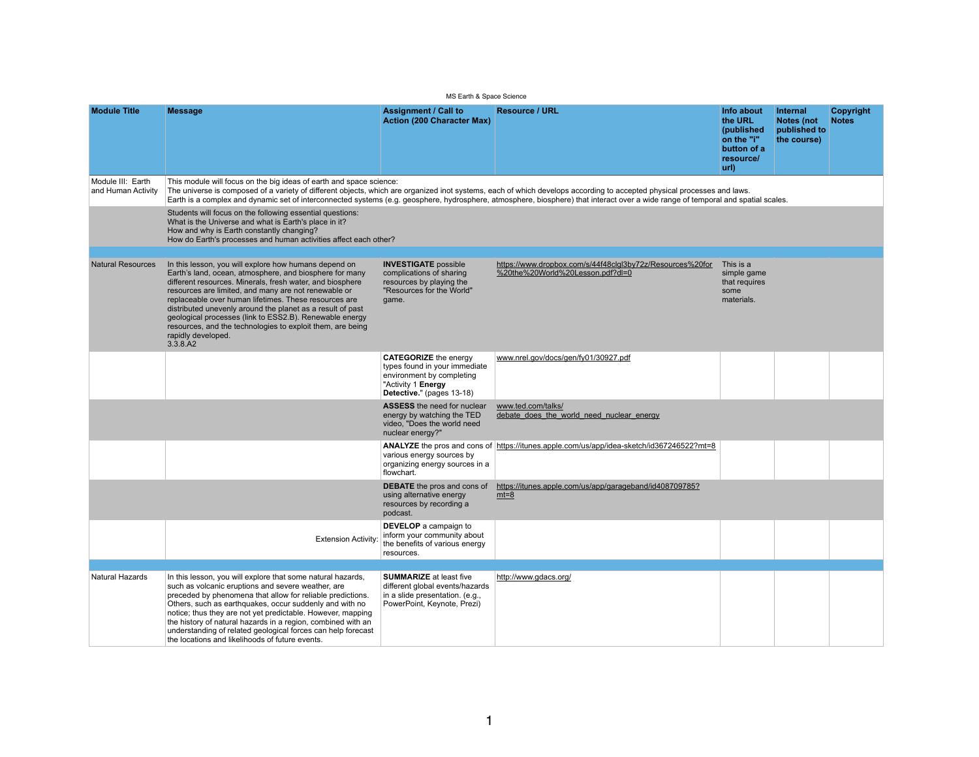$MS$  Earth  $\&$  Space

|                                         | <b>INIS EARTH &amp; SPACE SCIENCE</b>                                                                                                                                                                                                                                                                                                                                                                                                                                                                                   |                                                                                                                                               |                                                                                                                                                                                                                                                                                                                                                              |                                                                                       |                                                                     |                                  |  |
|-----------------------------------------|-------------------------------------------------------------------------------------------------------------------------------------------------------------------------------------------------------------------------------------------------------------------------------------------------------------------------------------------------------------------------------------------------------------------------------------------------------------------------------------------------------------------------|-----------------------------------------------------------------------------------------------------------------------------------------------|--------------------------------------------------------------------------------------------------------------------------------------------------------------------------------------------------------------------------------------------------------------------------------------------------------------------------------------------------------------|---------------------------------------------------------------------------------------|---------------------------------------------------------------------|----------------------------------|--|
| <b>Module Title</b>                     | <b>Message</b>                                                                                                                                                                                                                                                                                                                                                                                                                                                                                                          | <b>Assignment / Call to</b><br><b>Action (200 Character Max)</b>                                                                              | <b>Resource / URL</b>                                                                                                                                                                                                                                                                                                                                        | Info about<br>the URL<br>(published<br>on the "i"<br>button of a<br>resource/<br>url) | <b>Internal</b><br><b>Notes (not</b><br>published to<br>the course) | <b>Copyright</b><br><b>Notes</b> |  |
| Module III: Earth<br>and Human Activity | This module will focus on the big ideas of earth and space science:                                                                                                                                                                                                                                                                                                                                                                                                                                                     |                                                                                                                                               | The universe is composed of a variety of different objects, which are organized inot systems, each of which develops according to accepted physical processes and laws.<br>Earth is a complex and dynamic set of interconnected systems (e.g. geosphere, hydrosphere, atmosphere, biosphere) that interact over a wide range of temporal and spatial scales. |                                                                                       |                                                                     |                                  |  |
|                                         | Students will focus on the following essential questions:<br>What is the Universe and what is Earth's place in it?<br>How and why is Earth constantly changing?<br>How do Earth's processes and human activities affect each other?                                                                                                                                                                                                                                                                                     |                                                                                                                                               |                                                                                                                                                                                                                                                                                                                                                              |                                                                                       |                                                                     |                                  |  |
| <b>Natural Resources</b>                | In this lesson, you will explore how humans depend on<br>Earth's land, ocean, atmosphere, and biosphere for many<br>different resources. Minerals, fresh water, and biosphere<br>resources are limited, and many are not renewable or<br>replaceable over human lifetimes. These resources are<br>distributed unevenly around the planet as a result of past<br>geological processes (link to ESS2.B). Renewable energy<br>resources, and the technologies to exploit them, are being<br>rapidly developed.<br>3.3.8.A2 | <b>INVESTIGATE</b> possible<br>complications of sharing<br>resources by playing the<br>"Resources for the World"<br>game.                     | https://www.dropbox.com/s/44f48clgl3by72z/Resources%20for<br>%20the%20World%20Lesson.pdf?dl=0                                                                                                                                                                                                                                                                | This is a<br>simple game<br>that requires<br>some<br>materials.                       |                                                                     |                                  |  |
|                                         |                                                                                                                                                                                                                                                                                                                                                                                                                                                                                                                         | <b>CATEGORIZE</b> the energy<br>types found in your immediate<br>environment by completing<br>"Activity 1 Energy<br>Detective." (pages 13-18) | www.nrel.gov/docs/gen/fy01/30927.pdf                                                                                                                                                                                                                                                                                                                         |                                                                                       |                                                                     |                                  |  |
|                                         |                                                                                                                                                                                                                                                                                                                                                                                                                                                                                                                         | <b>ASSESS</b> the need for nuclear<br>energy by watching the TED<br>video, "Does the world need<br>nuclear energy?"                           | www.ted.com/talks/<br>debate does the world need nuclear energy                                                                                                                                                                                                                                                                                              |                                                                                       |                                                                     |                                  |  |
|                                         |                                                                                                                                                                                                                                                                                                                                                                                                                                                                                                                         | various energy sources by<br>organizing energy sources in a<br>flowchart.                                                                     | <b>ANALYZE</b> the pros and cons of https://itunes.apple.com/us/app/idea-sketch/id367246522?mt=8                                                                                                                                                                                                                                                             |                                                                                       |                                                                     |                                  |  |
|                                         |                                                                                                                                                                                                                                                                                                                                                                                                                                                                                                                         | <b>DEBATE</b> the pros and cons of<br>using alternative energy<br>resources by recording a<br>podcast.                                        | https://itunes.apple.com/us/app/garageband/id408709785?<br>$mt=8$                                                                                                                                                                                                                                                                                            |                                                                                       |                                                                     |                                  |  |
|                                         | <b>Extension Activity:</b>                                                                                                                                                                                                                                                                                                                                                                                                                                                                                              | <b>DEVELOP</b> a campaign to<br>inform your community about<br>the benefits of various energy<br>resources.                                   |                                                                                                                                                                                                                                                                                                                                                              |                                                                                       |                                                                     |                                  |  |
|                                         |                                                                                                                                                                                                                                                                                                                                                                                                                                                                                                                         |                                                                                                                                               |                                                                                                                                                                                                                                                                                                                                                              |                                                                                       |                                                                     |                                  |  |
| <b>Natural Hazards</b>                  | In this lesson, you will explore that some natural hazards,<br>such as volcanic eruptions and severe weather, are<br>preceded by phenomena that allow for reliable predictions.<br>Others, such as earthquakes, occur suddenly and with no<br>notice; thus they are not yet predictable. However, mapping<br>the history of natural hazards in a region, combined with an<br>understanding of related geological forces can help forecast<br>the locations and likelihoods of future events.                            | <b>SUMMARIZE</b> at least five<br>different global events/hazards<br>in a slide presentation. (e.g.,<br>PowerPoint, Keynote, Prezi)           | http://www.gdacs.org/                                                                                                                                                                                                                                                                                                                                        |                                                                                       |                                                                     |                                  |  |

| Science |
|---------|
|         |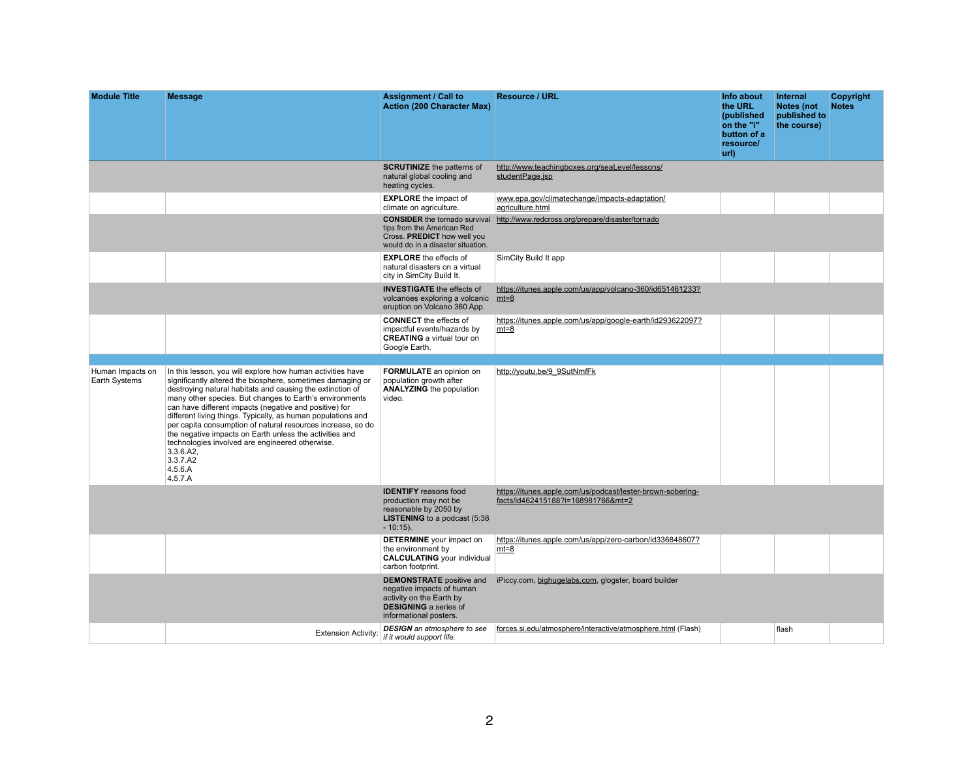| <b>Module Title</b>               | <b>Message</b>                                                                                                                                                                                                                                                                                                                                                                                                                                                                                                                                                                                         | <b>Assignment / Call to</b><br><b>Action (200 Character Max)</b>                                                                                   |  |
|-----------------------------------|--------------------------------------------------------------------------------------------------------------------------------------------------------------------------------------------------------------------------------------------------------------------------------------------------------------------------------------------------------------------------------------------------------------------------------------------------------------------------------------------------------------------------------------------------------------------------------------------------------|----------------------------------------------------------------------------------------------------------------------------------------------------|--|
|                                   |                                                                                                                                                                                                                                                                                                                                                                                                                                                                                                                                                                                                        | <b>SCRUTINIZE</b> the patterns of<br>natural global cooling and<br>heating cycles.                                                                 |  |
|                                   |                                                                                                                                                                                                                                                                                                                                                                                                                                                                                                                                                                                                        | <b>EXPLORE</b> the impact of<br>climate on agriculture.                                                                                            |  |
|                                   |                                                                                                                                                                                                                                                                                                                                                                                                                                                                                                                                                                                                        | <b>CONSIDER</b> the tornado survival<br>tips from the American Red<br>Cross. PREDICT how well you<br>would do in a disaster situation.             |  |
|                                   |                                                                                                                                                                                                                                                                                                                                                                                                                                                                                                                                                                                                        | <b>EXPLORE</b> the effects of<br>natural disasters on a virtual<br>city in SimCity Build It.                                                       |  |
|                                   |                                                                                                                                                                                                                                                                                                                                                                                                                                                                                                                                                                                                        | <b>INVESTIGATE</b> the effects of<br>volcanoes exploring a volcanic<br>eruption on Volcano 360 App.                                                |  |
|                                   |                                                                                                                                                                                                                                                                                                                                                                                                                                                                                                                                                                                                        | <b>CONNECT</b> the effects of<br>impactful events/hazards by<br><b>CREATING</b> a virtual tour on<br>Google Earth.                                 |  |
|                                   |                                                                                                                                                                                                                                                                                                                                                                                                                                                                                                                                                                                                        |                                                                                                                                                    |  |
| Human Impacts on<br>Earth Systems | In this lesson, you will explore how human activities have<br>significantly altered the biosphere, sometimes damaging or<br>destroying natural habitats and causing the extinction of<br>many other species. But changes to Earth's environments<br>can have different impacts (negative and positive) for<br>different living things. Typically, as human populations and<br>per capita consumption of natural resources increase, so do<br>the negative impacts on Earth unless the activities and<br>technologies involved are engineered otherwise.<br>3.3.6.A2,<br>3.3.7.A2<br>4.5.6.A<br>4.5.7.A | <b>FORMULATE</b> an opinion on<br>population growth after<br><b>ANALYZING the population</b><br>video.                                             |  |
|                                   |                                                                                                                                                                                                                                                                                                                                                                                                                                                                                                                                                                                                        | <b>IDENTIFY</b> reasons food<br>production may not be<br>reasonable by 2050 by<br><b>LISTENING</b> to a podcast (5:38)<br>$-10:15$ ).              |  |
|                                   |                                                                                                                                                                                                                                                                                                                                                                                                                                                                                                                                                                                                        | <b>DETERMINE</b> your impact on<br>the environment by<br><b>CALCULATING</b> your individual<br>carbon footprint.                                   |  |
|                                   |                                                                                                                                                                                                                                                                                                                                                                                                                                                                                                                                                                                                        | <b>DEMONSTRATE</b> positive and<br>negative impacts of human<br>activity on the Earth by<br><b>DESIGNING</b> a series of<br>informational posters. |  |
|                                   | <b>Extension Activity:</b>                                                                                                                                                                                                                                                                                                                                                                                                                                                                                                                                                                             | <b>DESIGN</b> an atmosphere to see<br>if it would support life.                                                                                    |  |

| <b>Resource / URL</b>                                                                            | Info about<br>the URL<br>(published<br>on the "i"<br>button of a<br>resource/<br>url) | <b>Internal</b><br><b>Notes (not</b><br>published to<br>the course) | <b>Copyright</b><br><b>Notes</b> |
|--------------------------------------------------------------------------------------------------|---------------------------------------------------------------------------------------|---------------------------------------------------------------------|----------------------------------|
| http://www.teachingboxes.org/seaLevel/lessons/<br>studentPage.jsp                                |                                                                                       |                                                                     |                                  |
| www.epa.gov/climatechange/impacts-adaptation/<br>agriculture.html                                |                                                                                       |                                                                     |                                  |
| http://www.redcross.org/prepare/disaster/tornado                                                 |                                                                                       |                                                                     |                                  |
| SimCity Build It app                                                                             |                                                                                       |                                                                     |                                  |
| https://itunes.apple.com/us/app/volcano-360/id651461233?<br>$mt=8$                               |                                                                                       |                                                                     |                                  |
| https://itunes.apple.com/us/app/google-earth/id293622097?<br>$mt=8$                              |                                                                                       |                                                                     |                                  |
| http://youtu.be/9_9SutNmfFk                                                                      |                                                                                       |                                                                     |                                  |
|                                                                                                  |                                                                                       |                                                                     |                                  |
| https://itunes.apple.com/us/podcast/lester-brown-sobering-<br>facts/id462415188?i=168981766&mt=2 |                                                                                       |                                                                     |                                  |
| https://itunes.apple.com/us/app/zero-carbon/id336848607?<br>$mt=8$                               |                                                                                       |                                                                     |                                  |
| iPiccy.com, bighugelabs.com, glogster, board builder                                             |                                                                                       |                                                                     |                                  |
| forces.si.edu/atmosphere/interactive/atmosphere.html (Flash)                                     |                                                                                       | flash                                                               |                                  |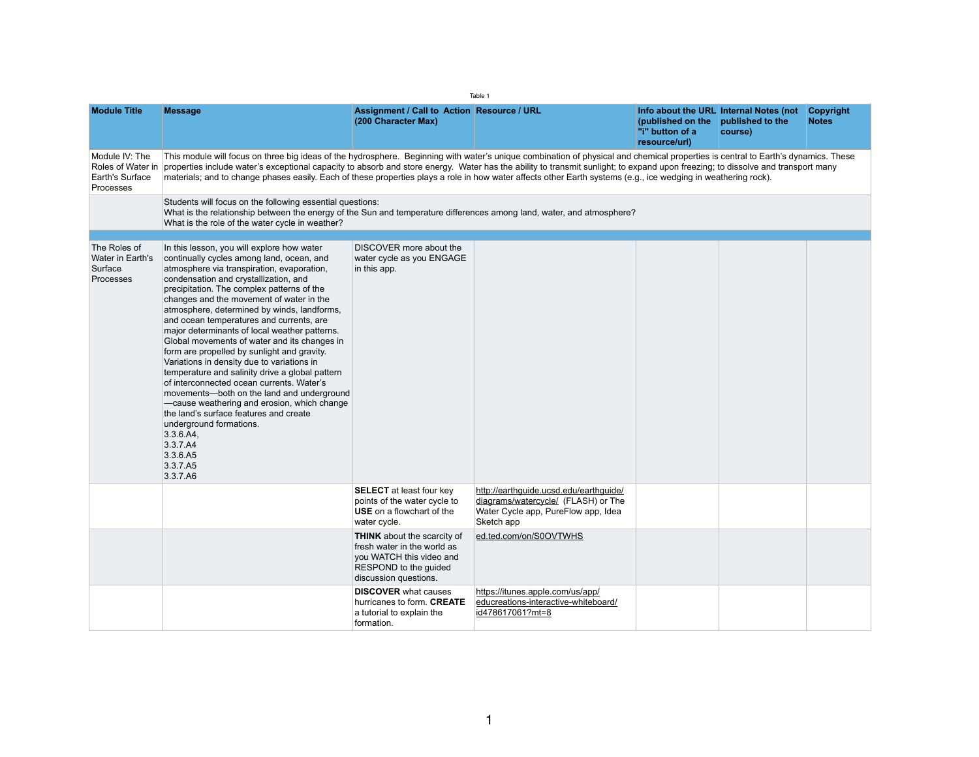Table 1

| <b>Module Title</b>                                                        | <b>Message</b>                                                                                                                                                                                                                                                                                                                                                                                                                                                                                                                                                                                                                                                                                                                                                                                                                                     | <b>Assignment / Call to Action Resource / URL</b><br>(200 Character Max)                                                                        |                                                                                                                                    | (published on the<br>"i" button of a<br>resource/url) | Info about the URL Internal Notes (not<br>published to the<br>course) | <b>Copyright</b><br><b>Notes</b> |
|----------------------------------------------------------------------------|----------------------------------------------------------------------------------------------------------------------------------------------------------------------------------------------------------------------------------------------------------------------------------------------------------------------------------------------------------------------------------------------------------------------------------------------------------------------------------------------------------------------------------------------------------------------------------------------------------------------------------------------------------------------------------------------------------------------------------------------------------------------------------------------------------------------------------------------------|-------------------------------------------------------------------------------------------------------------------------------------------------|------------------------------------------------------------------------------------------------------------------------------------|-------------------------------------------------------|-----------------------------------------------------------------------|----------------------------------|
| Module IV: The<br>Roles of Water in<br>Earth's Surface<br><b>Processes</b> | This module will focus on three big ideas of the hydrosphere. Beginning with water's unique combination of physical and chemical properties is central to Earth's dynamics. These<br>properties include water's exceptional capacity to absorb and store energy. Water has the ability to transmit sunlight; to expand upon freezing; to dissolve and transport many<br>materials; and to change phases easily. Each of these properties plays a role in how water affects other Earth systems (e.g., ice wedging in weathering rock).                                                                                                                                                                                                                                                                                                             |                                                                                                                                                 |                                                                                                                                    |                                                       |                                                                       |                                  |
|                                                                            | Students will focus on the following essential questions:<br>What is the relationship between the energy of the Sun and temperature differences among land, water, and atmosphere?<br>What is the role of the water cycle in weather?                                                                                                                                                                                                                                                                                                                                                                                                                                                                                                                                                                                                              |                                                                                                                                                 |                                                                                                                                    |                                                       |                                                                       |                                  |
| The Roles of                                                               | In this lesson, you will explore how water                                                                                                                                                                                                                                                                                                                                                                                                                                                                                                                                                                                                                                                                                                                                                                                                         | DISCOVER more about the                                                                                                                         |                                                                                                                                    |                                                       |                                                                       |                                  |
| Water in Earth's<br>Surface<br><b>Processes</b>                            | continually cycles among land, ocean, and<br>atmosphere via transpiration, evaporation,<br>condensation and crystallization, and<br>precipitation. The complex patterns of the<br>changes and the movement of water in the<br>atmosphere, determined by winds, landforms,<br>and ocean temperatures and currents, are<br>major determinants of local weather patterns.<br>Global movements of water and its changes in<br>form are propelled by sunlight and gravity.<br>Variations in density due to variations in<br>temperature and salinity drive a global pattern<br>of interconnected ocean currents. Water's<br>movements—both on the land and underground<br>-cause weathering and erosion, which change<br>the land's surface features and create<br>underground formations.<br>3.3.6.A4,<br>3.3.7.A4<br>3.3.6.A5<br>3.3.7.A5<br>3.3.7.A6 | water cycle as you ENGAGE<br>in this app.                                                                                                       |                                                                                                                                    |                                                       |                                                                       |                                  |
|                                                                            |                                                                                                                                                                                                                                                                                                                                                                                                                                                                                                                                                                                                                                                                                                                                                                                                                                                    | <b>SELECT</b> at least four key<br>points of the water cycle to<br><b>USE</b> on a flowchart of the<br>water cycle.                             | http://earthguide.ucsd.edu/earthguide/<br>diagrams/watercycle/ (FLASH) or The<br>Water Cycle app, PureFlow app, Idea<br>Sketch app |                                                       |                                                                       |                                  |
|                                                                            |                                                                                                                                                                                                                                                                                                                                                                                                                                                                                                                                                                                                                                                                                                                                                                                                                                                    | <b>THINK</b> about the scarcity of<br>fresh water in the world as<br>you WATCH this video and<br>RESPOND to the guided<br>discussion questions. | ed.ted.com/on/S0OVTWHS                                                                                                             |                                                       |                                                                       |                                  |
|                                                                            |                                                                                                                                                                                                                                                                                                                                                                                                                                                                                                                                                                                                                                                                                                                                                                                                                                                    | <b>DISCOVER</b> what causes<br>hurricanes to form. <b>CREATE</b><br>a tutorial to explain the<br>formation.                                     | https://itunes.apple.com/us/app/<br>educreations-interactive-whiteboard/<br>id478617061?mt=8                                       |                                                       |                                                                       |                                  |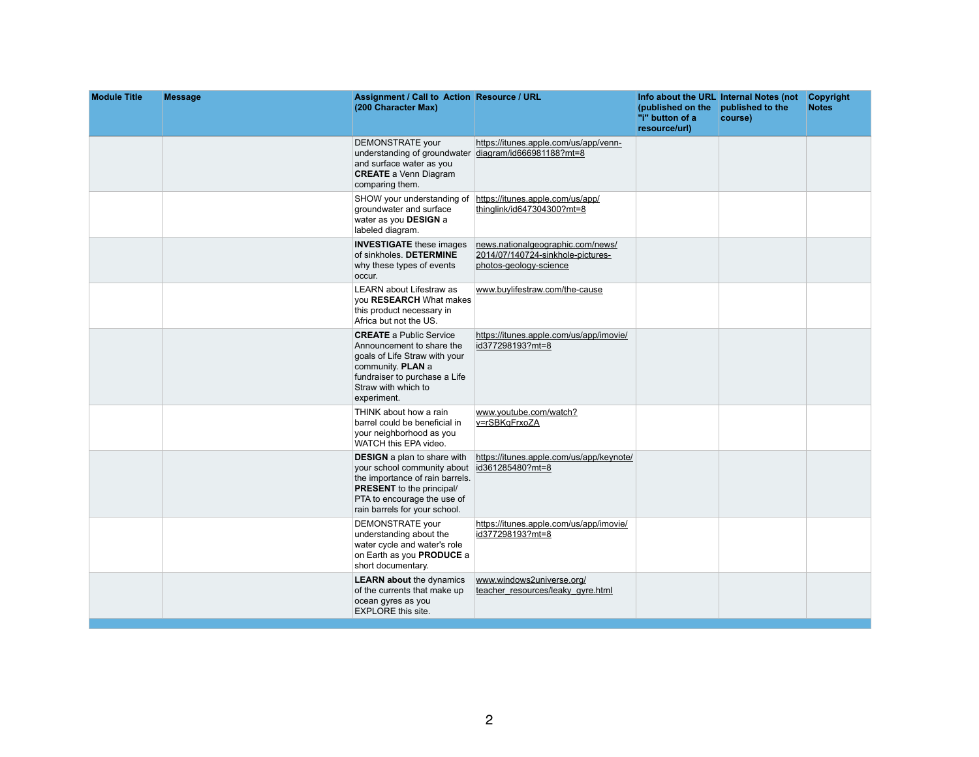| <b>Module Title</b> | <b>Message</b> | <b>Assignment / Call to Action Resource / URL</b><br>(200 Character Max)                                                                                                                                                   |                                                                                                  | (published on the published to the<br>"i" button of a<br>resource/url) | Info about the URL Internal Notes (not<br>course) | <b>Copyright</b><br><b>Notes</b> |
|---------------------|----------------|----------------------------------------------------------------------------------------------------------------------------------------------------------------------------------------------------------------------------|--------------------------------------------------------------------------------------------------|------------------------------------------------------------------------|---------------------------------------------------|----------------------------------|
|                     |                | <b>DEMONSTRATE your</b><br>understanding of groundwater diagram/id666981188?mt=8<br>and surface water as you<br><b>CREATE</b> a Venn Diagram<br>comparing them.                                                            | https://itunes.apple.com/us/app/venn-                                                            |                                                                        |                                                   |                                  |
|                     |                | SHOW your understanding of<br>groundwater and surface<br>water as you <b>DESIGN</b> a<br>labeled diagram.                                                                                                                  | https://itunes.apple.com/us/app/<br><u>thinglink/id647304300?mt=8</u>                            |                                                                        |                                                   |                                  |
|                     |                | <b>INVESTIGATE</b> these images<br>of sinkholes. DETERMINE<br>why these types of events<br>occur.                                                                                                                          | news.nationalgeographic.com/news/<br>2014/07/140724-sinkhole-pictures-<br>photos-geology-science |                                                                        |                                                   |                                  |
|                     |                | <b>LEARN about Lifestraw as</b><br>you <b>RESEARCH</b> What makes<br>this product necessary in<br>Africa but not the US.                                                                                                   | www.buylifestraw.com/the-cause                                                                   |                                                                        |                                                   |                                  |
|                     |                | <b>CREATE</b> a Public Service<br>Announcement to share the<br>goals of Life Straw with your<br>community. <b>PLAN</b> a<br>fundraiser to purchase a Life<br>Straw with which to<br>experiment.                            | https://itunes.apple.com/us/app/imovie/<br>id377298193?mt=8                                      |                                                                        |                                                   |                                  |
|                     |                | THINK about how a rain<br>barrel could be beneficial in<br>your neighborhood as you<br>WATCH this EPA video.                                                                                                               | www.youtube.com/watch?<br><u>v=rSBKqFrxoZA</u>                                                   |                                                                        |                                                   |                                  |
|                     |                | <b>DESIGN</b> a plan to share with<br>your school community about id 361285480?mt=8<br>the importance of rain barrels.<br><b>PRESENT</b> to the principal/<br>PTA to encourage the use of<br>rain barrels for your school. | https://itunes.apple.com/us/app/keynote/                                                         |                                                                        |                                                   |                                  |
|                     |                | <b>DEMONSTRATE</b> your<br>understanding about the<br>water cycle and water's role<br>on Earth as you <b>PRODUCE</b> a<br>short documentary.                                                                               | https://itunes.apple.com/us/app/imovie/<br>id377298193?mt=8                                      |                                                                        |                                                   |                                  |
|                     |                | <b>LEARN about the dynamics</b><br>of the currents that make up<br>ocean gyres as you<br><b>EXPLORE this site.</b>                                                                                                         | www.windows2universe.org/<br>teacher_resources/leaky_gyre.html                                   |                                                                        |                                                   |                                  |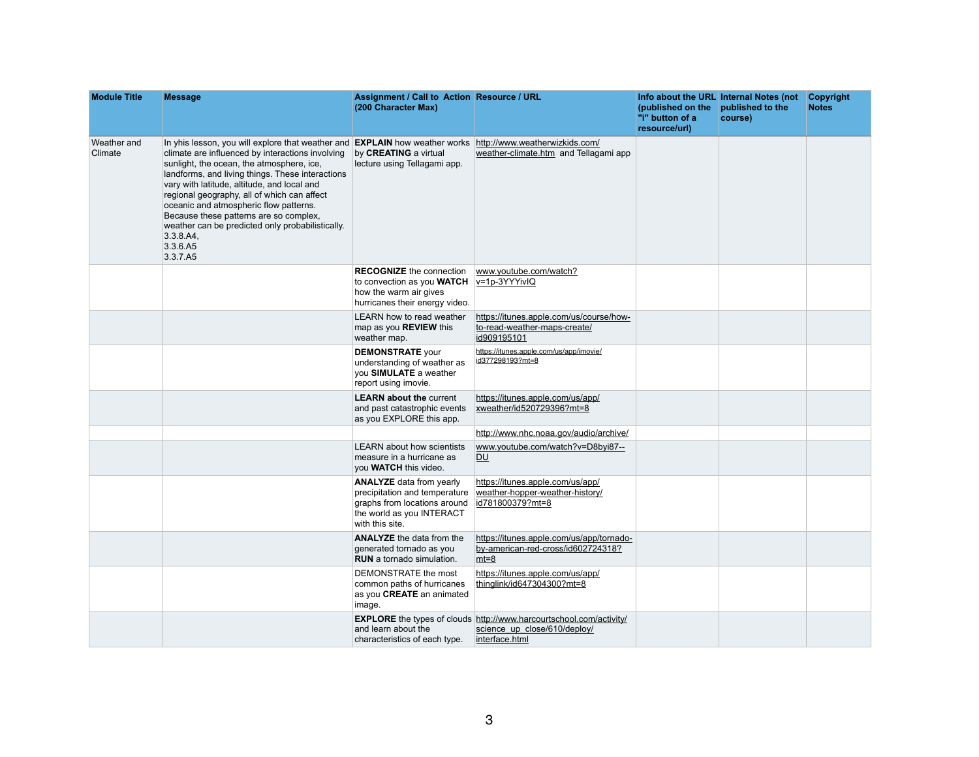| <b>Module Title</b>    | <b>Message</b>                                                                                                                                                                                                                                                                                                                                                                                                                                                                                                     | <b>Assignment / Call to Action Resource / URL</b><br>(200 Character Max)                                                         |                                                                                                                                 | (published on the<br>"i" button of a<br>resource/url) | Info about the URL Internal Notes (not<br>published to the<br>course) | <b>Copyright</b><br><b>Notes</b> |
|------------------------|--------------------------------------------------------------------------------------------------------------------------------------------------------------------------------------------------------------------------------------------------------------------------------------------------------------------------------------------------------------------------------------------------------------------------------------------------------------------------------------------------------------------|----------------------------------------------------------------------------------------------------------------------------------|---------------------------------------------------------------------------------------------------------------------------------|-------------------------------------------------------|-----------------------------------------------------------------------|----------------------------------|
| Weather and<br>Climate | In yhis lesson, you will explore that weather and <b>EXPLAIN</b> how weather works<br>climate are influenced by interactions involving<br>sunlight, the ocean, the atmosphere, ice,<br>landforms, and living things. These interactions<br>vary with latitude, altitude, and local and<br>regional geography, all of which can affect<br>oceanic and atmospheric flow patterns.<br>Because these patterns are so complex,<br>weather can be predicted only probabilistically.<br>3.3.8.A4,<br>3.3.6.A5<br>3.3.7.A5 | by <b>CREATING</b> a virtual<br>lecture using Tellagami app.                                                                     | http://www.weatherwizkids.com/<br>weather-climate.htm and Tellagami app                                                         |                                                       |                                                                       |                                  |
|                        |                                                                                                                                                                                                                                                                                                                                                                                                                                                                                                                    | <b>RECOGNIZE</b> the connection<br>to convection as you <b>WATCH</b><br>how the warm air gives<br>hurricanes their energy video. | www.youtube.com/watch?<br>$v=1p-3YYYivIQ$                                                                                       |                                                       |                                                                       |                                  |
|                        |                                                                                                                                                                                                                                                                                                                                                                                                                                                                                                                    | LEARN how to read weather<br>map as you <b>REVIEW</b> this<br>weather map.                                                       | https://itunes.apple.com/us/course/how-<br><u>to-read-weather-maps-create/</u><br>id909195101                                   |                                                       |                                                                       |                                  |
|                        |                                                                                                                                                                                                                                                                                                                                                                                                                                                                                                                    | <b>DEMONSTRATE your</b><br>understanding of weather as<br>you <b>SIMULATE</b> a weather<br>report using imovie.                  | https://itunes.apple.com/us/app/imovie/<br>id377298193?mt=8                                                                     |                                                       |                                                                       |                                  |
|                        |                                                                                                                                                                                                                                                                                                                                                                                                                                                                                                                    | <b>LEARN about the current</b><br>and past catastrophic events<br>as you EXPLORE this app.                                       | https://itunes.apple.com/us/app/<br>xweather/id520729396?mt=8                                                                   |                                                       |                                                                       |                                  |
|                        |                                                                                                                                                                                                                                                                                                                                                                                                                                                                                                                    |                                                                                                                                  | http://www.nhc.noaa.gov/audio/archive/                                                                                          |                                                       |                                                                       |                                  |
|                        |                                                                                                                                                                                                                                                                                                                                                                                                                                                                                                                    | <b>LEARN about how scientists</b><br>measure in a hurricane as<br>you <b>WATCH</b> this video.                                   | www.youtube.com/watch?v=D8byi87--<br><u>DU</u>                                                                                  |                                                       |                                                                       |                                  |
|                        |                                                                                                                                                                                                                                                                                                                                                                                                                                                                                                                    | <b>ANALYZE</b> data from yearly<br>graphs from locations around<br>the world as you INTERACT<br>with this site.                  | https://itunes.apple.com/us/app/<br>precipitation and temperature   weather-hopper-weather-history/<br><u> id781800379?mt=8</u> |                                                       |                                                                       |                                  |
|                        |                                                                                                                                                                                                                                                                                                                                                                                                                                                                                                                    | <b>ANALYZE</b> the data from the<br>generated tornado as you<br><b>RUN</b> a tornado simulation.                                 | https://itunes.apple.com/us/app/tornado-<br>by-american-red-cross/id602724318?<br><u> mt=8</u>                                  |                                                       |                                                                       |                                  |
|                        |                                                                                                                                                                                                                                                                                                                                                                                                                                                                                                                    | DEMONSTRATE the most<br>common paths of hurricanes<br>as you <b>CREATE</b> an animated<br>image.                                 | https://itunes.apple.com/us/app/<br><u>thinglink/id647304300?mt=8</u>                                                           |                                                       |                                                                       |                                  |
|                        |                                                                                                                                                                                                                                                                                                                                                                                                                                                                                                                    | and learn about the<br>characteristics of each type.                                                                             | <b>EXPLORE</b> the types of clouds http://www.harcourtschool.com/activity/<br>science up close/610/deploy/<br>interface.html    |                                                       |                                                                       |                                  |